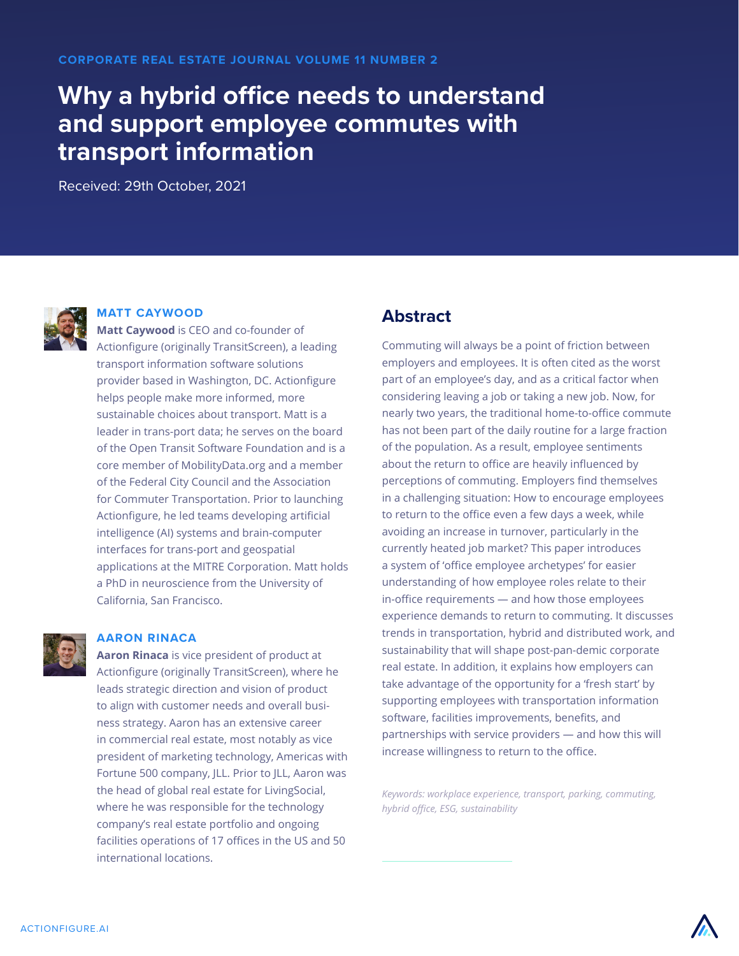# **Why a hybrid office needs to understand and support employee commutes with transport information**

Received: 29th October, 2021



#### **MATT CAYWOOD**

**Matt Caywood** is CEO and co-founder of Actionfigure (originally TransitScreen), a leading transport information software solutions provider based in Washington, DC. Actionfigure helps people make more informed, more sustainable choices about transport. Matt is a leader in trans-port data; he serves on the board of the Open Transit Software Foundation and is a core member of MobilityData.org and a member of the Federal City Council and the Association for Commuter Transportation. Prior to launching Actionfigure, he led teams developing artificial intelligence (AI) systems and brain-computer interfaces for trans-port and geospatial applications at the MITRE Corporation. Matt holds a PhD in neuroscience from the University of California, San Francisco.



#### **AARON RINACA**

**Aaron Rinaca** is vice president of product at Actionfigure (originally TransitScreen), where he leads strategic direction and vision of product to align with customer needs and overall business strategy. Aaron has an extensive career in commercial real estate, most notably as vice president of marketing technology, Americas with Fortune 500 company, JLL. Prior to JLL, Aaron was the head of global real estate for LivingSocial, where he was responsible for the technology company's real estate portfolio and ongoing facilities operations of 17 offices in the US and 50 international locations.

### **Abstract**

Commuting will always be a point of friction between employers and employees. It is often cited as the worst part of an employee's day, and as a critical factor when considering leaving a job or taking a new job. Now, for nearly two years, the traditional home-to-office commute has not been part of the daily routine for a large fraction of the population. As a result, employee sentiments about the return to office are heavily influenced by perceptions of commuting. Employers find themselves in a challenging situation: How to encourage employees to return to the office even a few days a week, while avoiding an increase in turnover, particularly in the currently heated job market? This paper introduces a system of 'office employee archetypes' for easier understanding of how employee roles relate to their in-office requirements — and how those employees experience demands to return to commuting. It discusses trends in transportation, hybrid and distributed work, and sustainability that will shape post-pan-demic corporate real estate. In addition, it explains how employers can take advantage of the opportunity for a 'fresh start' by supporting employees with transportation information software, facilities improvements, benefits, and partnerships with service providers — and how this will increase willingness to return to the office.

*Keywords: workplace experience, transport, parking, commuting, hybrid office, ESG, sustainability*

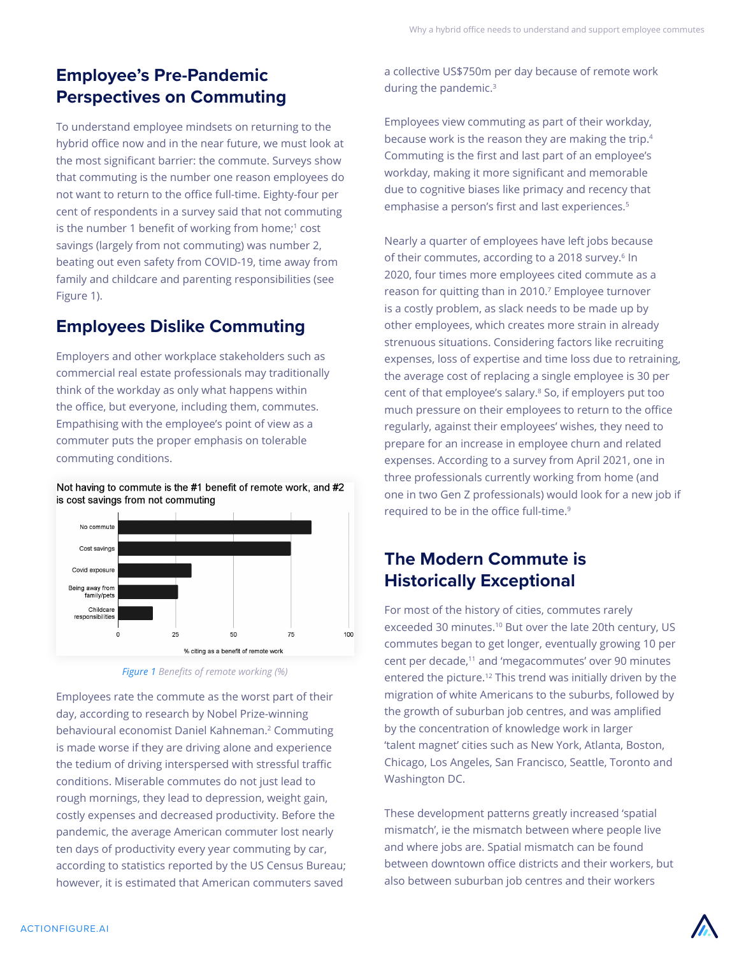## **Employee's Pre-Pandemic Perspectives on Commuting**

To understand employee mindsets on returning to the hybrid office now and in the near future, we must look at the most significant barrier: the commute. Surveys show that commuting is the number one reason employees do not want to return to the office full-time. Eighty-four per cent of respondents in a survey said that not commuting is the number 1 benefit of working from home;<sup>1</sup> cost savings (largely from not commuting) was number 2, beating out even safety from COVID-19, time away from family and childcare and parenting responsibilities (see Figure 1).

### **Employees Dislike Commuting**

Employers and other workplace stakeholders such as commercial real estate professionals may traditionally think of the workday as only what happens within the office, but everyone, including them, commutes. Empathising with the employee's point of view as a commuter puts the proper emphasis on tolerable commuting conditions.

Not having to commute is the #1 benefit of remote work, and #2 is cost savings from not commuting



*Figure 1 Benefits of remote working (%)*

Employees rate the commute as the worst part of their day, according to research by Nobel Prize-winning behavioural economist Daniel Kahneman.<sup>2</sup> Commuting is made worse if they are driving alone and experience the tedium of driving interspersed with stressful traffic conditions. Miserable commutes do not just lead to rough mornings, they lead to depression, weight gain, costly expenses and decreased productivity. Before the pandemic, the average American commuter lost nearly ten days of productivity every year commuting by car, according to statistics reported by the US Census Bureau; however, it is estimated that American commuters saved

a collective US\$750m per day because of remote work during the pandemic.3

Employees view commuting as part of their workday, because work is the reason they are making the trip.4 Commuting is the first and last part of an employee's workday, making it more significant and memorable due to cognitive biases like primacy and recency that emphasise a person's first and last experiences.<sup>5</sup>

Nearly a quarter of employees have left jobs because of their commutes, according to a 2018 survey.<sup>6</sup> In 2020, four times more employees cited commute as a reason for quitting than in 2010.<sup>7</sup> Employee turnover is a costly problem, as slack needs to be made up by other employees, which creates more strain in already strenuous situations. Considering factors like recruiting expenses, loss of expertise and time loss due to retraining, the average cost of replacing a single employee is 30 per cent of that employee's salary.8 So, if employers put too much pressure on their employees to return to the office regularly, against their employees' wishes, they need to prepare for an increase in employee churn and related expenses. According to a survey from April 2021, one in three professionals currently working from home (and one in two Gen Z professionals) would look for a new job if required to be in the office full-time.<sup>9</sup>

## **The Modern Commute is Historically Exceptional**

For most of the history of cities, commutes rarely exceeded 30 minutes.<sup>10</sup> But over the late 20th century, US commutes began to get longer, eventually growing 10 per cent per decade,<sup>11</sup> and 'megacommutes' over 90 minutes entered the picture.<sup>12</sup> This trend was initially driven by the migration of white Americans to the suburbs, followed by the growth of suburban job centres, and was amplified by the concentration of knowledge work in larger 'talent magnet' cities such as New York, Atlanta, Boston, Chicago, Los Angeles, San Francisco, Seattle, Toronto and Washington DC.

These development patterns greatly increased 'spatial mismatch', ie the mismatch between where people live and where jobs are. Spatial mismatch can be found between downtown office districts and their workers, but also between suburban job centres and their workers

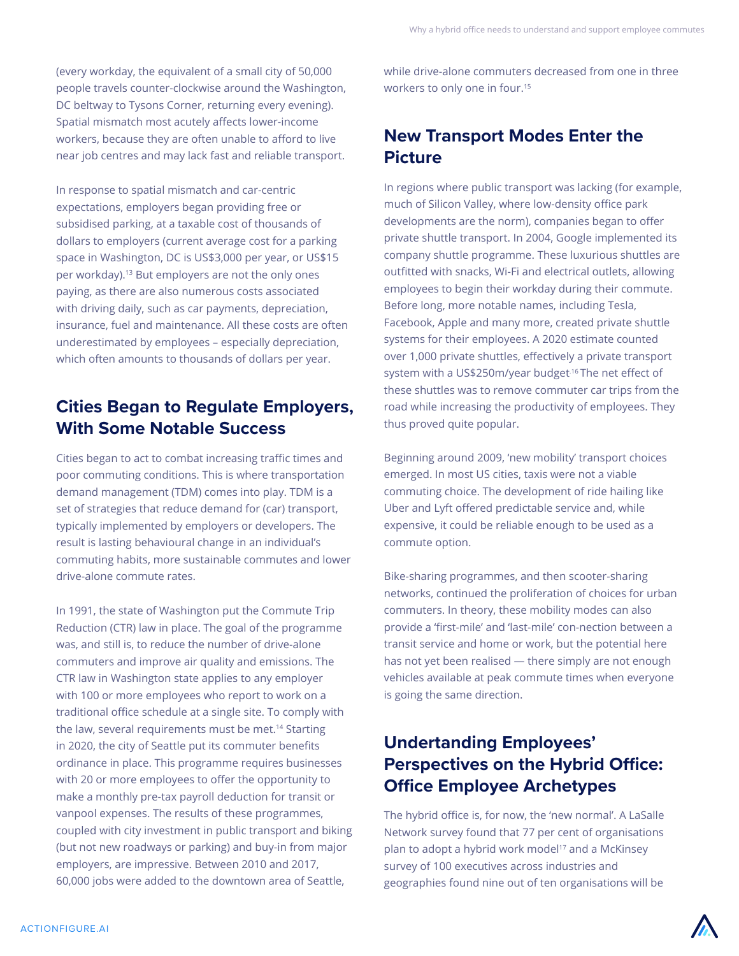(every workday, the equivalent of a small city of 50,000 people travels counter-clockwise around the Washington, DC beltway to Tysons Corner, returning every evening). Spatial mismatch most acutely affects lower-income workers, because they are often unable to afford to live near job centres and may lack fast and reliable transport.

In response to spatial mismatch and car-centric expectations, employers began providing free or subsidised parking, at a taxable cost of thousands of dollars to employers (current average cost for a parking space in Washington, DC is US\$3,000 per year, or US\$15 per workday).<sup>13</sup> But employers are not the only ones paying, as there are also numerous costs associated with driving daily, such as car payments, depreciation, insurance, fuel and maintenance. All these costs are often underestimated by employees – especially depreciation, which often amounts to thousands of dollars per year.

## **Cities Began to Regulate Employers, With Some Notable Success**

Cities began to act to combat increasing traffic times and poor commuting conditions. This is where transportation demand management (TDM) comes into play. TDM is a set of strategies that reduce demand for (car) transport, typically implemented by employers or developers. The result is lasting behavioural change in an individual's commuting habits, more sustainable commutes and lower drive-alone commute rates.

In 1991, the state of Washington put the Commute Trip Reduction (CTR) law in place. The goal of the programme was, and still is, to reduce the number of drive-alone commuters and improve air quality and emissions. The CTR law in Washington state applies to any employer with 100 or more employees who report to work on a traditional office schedule at a single site. To comply with the law, several requirements must be met.<sup>14</sup> Starting in 2020, the city of Seattle put its commuter benefits ordinance in place. This programme requires businesses with 20 or more employees to offer the opportunity to make a monthly pre-tax payroll deduction for transit or vanpool expenses. The results of these programmes, coupled with city investment in public transport and biking (but not new roadways or parking) and buy-in from major employers, are impressive. Between 2010 and 2017, 60,000 jobs were added to the downtown area of Seattle,

while drive-alone commuters decreased from one in three workers to only one in four.<sup>15</sup>

### **New Transport Modes Enter the Picture**

In regions where public transport was lacking (for example, much of Silicon Valley, where low-density office park developments are the norm), companies began to offer private shuttle transport. In 2004, Google implemented its company shuttle programme. These luxurious shuttles are outfitted with snacks, Wi-Fi and electrical outlets, allowing employees to begin their workday during their commute. Before long, more notable names, including Tesla, Facebook, Apple and many more, created private shuttle systems for their employees. A 2020 estimate counted over 1,000 private shuttles, effectively a private transport system with a US\$250m/year budget<sup>-16</sup> The net effect of these shuttles was to remove commuter car trips from the road while increasing the productivity of employees. They thus proved quite popular.

Beginning around 2009, 'new mobility' transport choices emerged. In most US cities, taxis were not a viable commuting choice. The development of ride hailing like Uber and Lyft offered predictable service and, while expensive, it could be reliable enough to be used as a commute option.

Bike-sharing programmes, and then scooter-sharing networks, continued the proliferation of choices for urban commuters. In theory, these mobility modes can also provide a 'first-mile' and 'last-mile' con-nection between a transit service and home or work, but the potential here has not yet been realised — there simply are not enough vehicles available at peak commute times when everyone is going the same direction.

## **Undertanding Employees' Perspectives on the Hybrid Office: Office Employee Archetypes**

The hybrid office is, for now, the 'new normal'. A LaSalle Network survey found that 77 per cent of organisations plan to adopt a hybrid work model<sup>17</sup> and a McKinsey survey of 100 executives across industries and geographies found nine out of ten organisations will be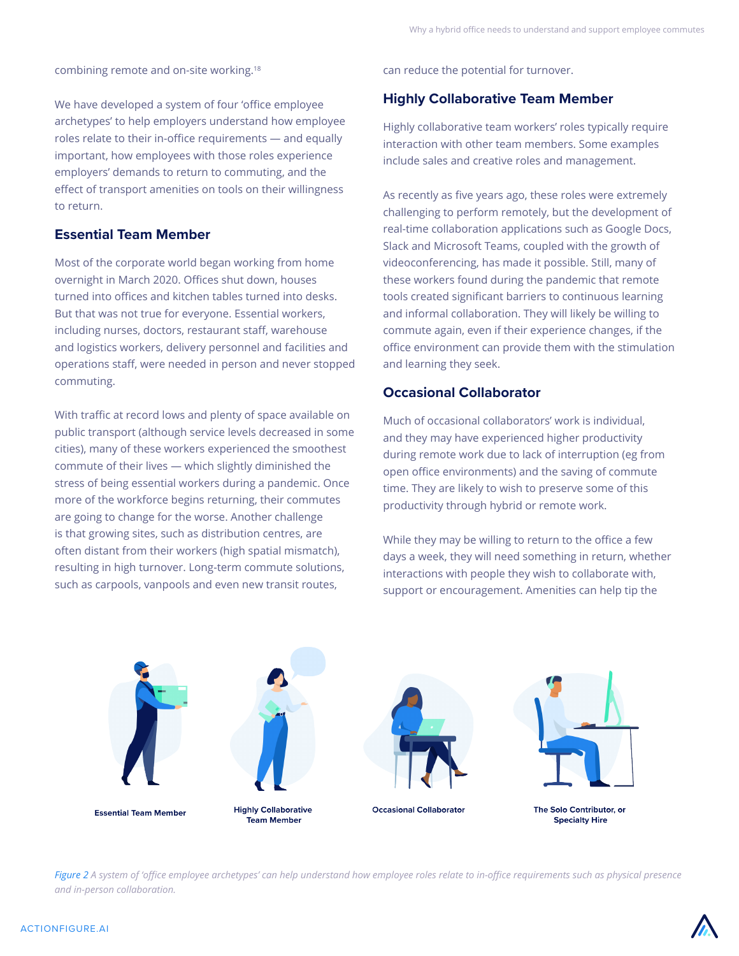combining remote and on-site working.<sup>18</sup>

We have developed a system of four 'office employee archetypes' to help employers understand how employee roles relate to their in-office requirements — and equally important, how employees with those roles experience employers' demands to return to commuting, and the effect of transport amenities on tools on their willingness to return.

#### **Essential Team Member**

Most of the corporate world began working from home overnight in March 2020. Offices shut down, houses turned into offices and kitchen tables turned into desks. But that was not true for everyone. Essential workers, including nurses, doctors, restaurant staff, warehouse and logistics workers, delivery personnel and facilities and operations staff, were needed in person and never stopped commuting.

With traffic at record lows and plenty of space available on public transport (although service levels decreased in some cities), many of these workers experienced the smoothest commute of their lives — which slightly diminished the stress of being essential workers during a pandemic. Once more of the workforce begins returning, their commutes are going to change for the worse. Another challenge is that growing sites, such as distribution centres, are often distant from their workers (high spatial mismatch), resulting in high turnover. Long-term commute solutions, such as carpools, vanpools and even new transit routes,

can reduce the potential for turnover.

#### **Highly Collaborative Team Member**

Highly collaborative team workers' roles typically require interaction with other team members. Some examples include sales and creative roles and management.

As recently as five years ago, these roles were extremely challenging to perform remotely, but the development of real-time collaboration applications such as Google Docs, Slack and Microsoft Teams, coupled with the growth of videoconferencing, has made it possible. Still, many of these workers found during the pandemic that remote tools created significant barriers to continuous learning and informal collaboration. They will likely be willing to commute again, even if their experience changes, if the office environment can provide them with the stimulation and learning they seek.

#### **Occasional Collaborator**

Much of occasional collaborators' work is individual, and they may have experienced higher productivity during remote work due to lack of interruption (eg from open office environments) and the saving of commute time. They are likely to wish to preserve some of this productivity through hybrid or remote work.

While they may be willing to return to the office a few days a week, they will need something in return, whether interactions with people they wish to collaborate with, support or encouragement. Amenities can help tip the



*Figure 2 A system of 'office employee archetypes' can help understand how employee roles relate to in-office requirements such as physical presence and in-person collaboration.*

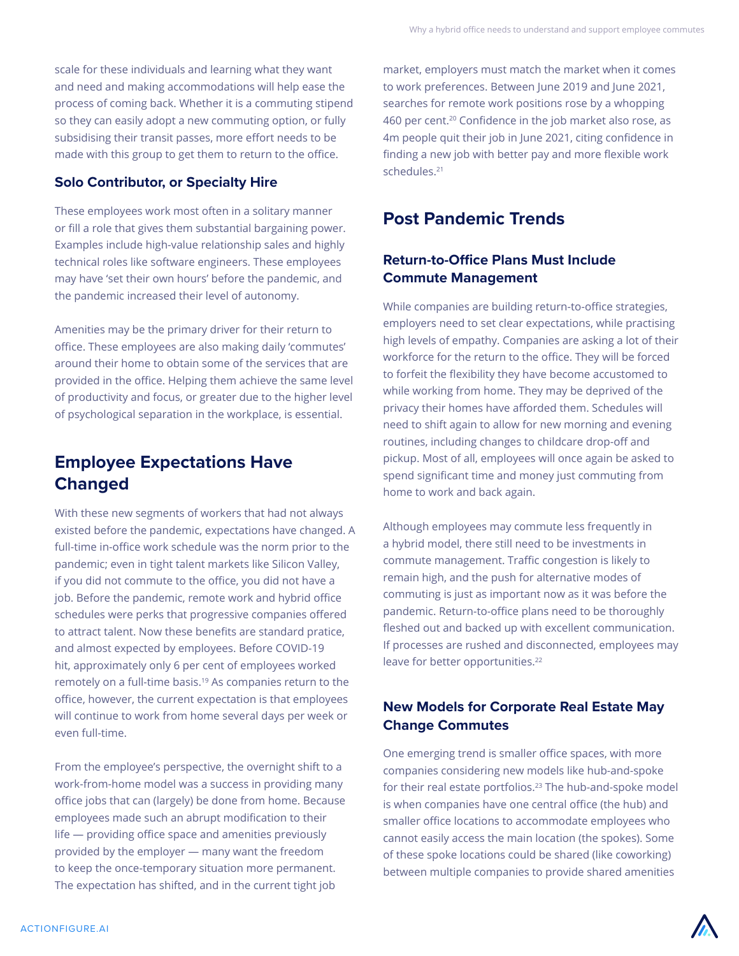scale for these individuals and learning what they want and need and making accommodations will help ease the process of coming back. Whether it is a commuting stipend so they can easily adopt a new commuting option, or fully subsidising their transit passes, more effort needs to be made with this group to get them to return to the office.

### **Solo Contributor, or Specialty Hire**

These employees work most often in a solitary manner or fill a role that gives them substantial bargaining power. Examples include high-value relationship sales and highly technical roles like software engineers. These employees may have 'set their own hours' before the pandemic, and the pandemic increased their level of autonomy.

Amenities may be the primary driver for their return to office. These employees are also making daily 'commutes' around their home to obtain some of the services that are provided in the office. Helping them achieve the same level of productivity and focus, or greater due to the higher level of psychological separation in the workplace, is essential.

## **Employee Expectations Have Changed**

With these new segments of workers that had not always existed before the pandemic, expectations have changed. A full-time in-office work schedule was the norm prior to the pandemic; even in tight talent markets like Silicon Valley, if you did not commute to the office, you did not have a job. Before the pandemic, remote work and hybrid office schedules were perks that progressive companies offered to attract talent. Now these benefits are standard pratice, and almost expected by employees. Before COVID-19 hit, approximately only 6 per cent of employees worked remotely on a full-time basis.19 As companies return to the office, however, the current expectation is that employees will continue to work from home several days per week or even full-time.

From the employee's perspective, the overnight shift to a work-from-home model was a success in providing many office jobs that can (largely) be done from home. Because employees made such an abrupt modification to their life — providing office space and amenities previously provided by the employer — many want the freedom to keep the once-temporary situation more permanent. The expectation has shifted, and in the current tight job

market, employers must match the market when it comes to work preferences. Between June 2019 and June 2021, searches for remote work positions rose by a whopping 460 per cent.<sup>20</sup> Confidence in the job market also rose, as 4m people quit their job in June 2021, citing confidence in finding a new job with better pay and more flexible work schedules.<sup>21</sup>

### **Post Pandemic Trends**

### **Return-to-Office Plans Must Include Commute Management**

While companies are building return-to-office strategies, employers need to set clear expectations, while practising high levels of empathy. Companies are asking a lot of their workforce for the return to the office. They will be forced to forfeit the flexibility they have become accustomed to while working from home. They may be deprived of the privacy their homes have afforded them. Schedules will need to shift again to allow for new morning and evening routines, including changes to childcare drop-off and pickup. Most of all, employees will once again be asked to spend significant time and money just commuting from home to work and back again.

Although employees may commute less frequently in a hybrid model, there still need to be investments in commute management. Traffic congestion is likely to remain high, and the push for alternative modes of commuting is just as important now as it was before the pandemic. Return-to-office plans need to be thoroughly fleshed out and backed up with excellent communication. If processes are rushed and disconnected, employees may leave for better opportunities.<sup>22</sup>

### **New Models for Corporate Real Estate May Change Commutes**

One emerging trend is smaller office spaces, with more companies considering new models like hub-and-spoke for their real estate portfolios.<sup>23</sup> The hub-and-spoke model is when companies have one central office (the hub) and smaller office locations to accommodate employees who cannot easily access the main location (the spokes). Some of these spoke locations could be shared (like coworking) between multiple companies to provide shared amenities

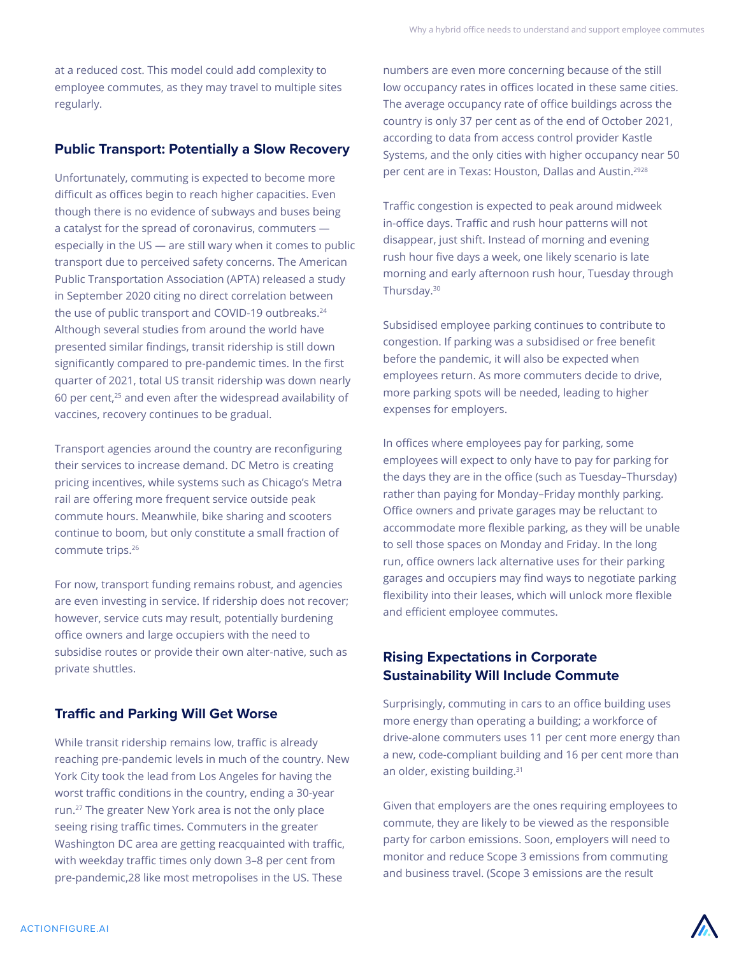at a reduced cost. This model could add complexity to employee commutes, as they may travel to multiple sites regularly.

#### **Public Transport: Potentially a Slow Recovery**

Unfortunately, commuting is expected to become more difficult as offices begin to reach higher capacities. Even though there is no evidence of subways and buses being a catalyst for the spread of coronavirus, commuters especially in the US — are still wary when it comes to public transport due to perceived safety concerns. The American Public Transportation Association (APTA) released a study in September 2020 citing no direct correlation between the use of public transport and COVID-19 outbreaks.<sup>24</sup> Although several studies from around the world have presented similar findings, transit ridership is still down significantly compared to pre-pandemic times. In the first quarter of 2021, total US transit ridership was down nearly 60 per cent,25 and even after the widespread availability of vaccines, recovery continues to be gradual.

Transport agencies around the country are reconfiguring their services to increase demand. DC Metro is creating pricing incentives, while systems such as Chicago's Metra rail are offering more frequent service outside peak commute hours. Meanwhile, bike sharing and scooters continue to boom, but only constitute a small fraction of commute trips.<sup>26</sup>

For now, transport funding remains robust, and agencies are even investing in service. If ridership does not recover; however, service cuts may result, potentially burdening office owners and large occupiers with the need to subsidise routes or provide their own alter-native, such as private shuttles.

### **Traffic and Parking Will Get Worse**

While transit ridership remains low, traffic is already reaching pre-pandemic levels in much of the country. New York City took the lead from Los Angeles for having the worst traffic conditions in the country, ending a 30-year run.<sup>27</sup> The greater New York area is not the only place seeing rising traffic times. Commuters in the greater Washington DC area are getting reacquainted with traffic, with weekday traffic times only down 3–8 per cent from pre-pandemic,28 like most metropolises in the US. These

numbers are even more concerning because of the still low occupancy rates in offices located in these same cities. The average occupancy rate of office buildings across the country is only 37 per cent as of the end of October 2021, according to data from access control provider Kastle Systems, and the only cities with higher occupancy near 50 per cent are in Texas: Houston, Dallas and Austin.<sup>2928</sup>

Traffic congestion is expected to peak around midweek in-office days. Traffic and rush hour patterns will not disappear, just shift. Instead of morning and evening rush hour five days a week, one likely scenario is late morning and early afternoon rush hour, Tuesday through Thursday.<sup>30</sup>

Subsidised employee parking continues to contribute to congestion. If parking was a subsidised or free benefit before the pandemic, it will also be expected when employees return. As more commuters decide to drive, more parking spots will be needed, leading to higher expenses for employers.

In offices where employees pay for parking, some employees will expect to only have to pay for parking for the days they are in the office (such as Tuesday–Thursday) rather than paying for Monday–Friday monthly parking. Office owners and private garages may be reluctant to accommodate more flexible parking, as they will be unable to sell those spaces on Monday and Friday. In the long run, office owners lack alternative uses for their parking garages and occupiers may find ways to negotiate parking flexibility into their leases, which will unlock more flexible and efficient employee commutes.

### **Rising Expectations in Corporate Sustainability Will Include Commute**

Surprisingly, commuting in cars to an office building uses more energy than operating a building; a workforce of drive-alone commuters uses 11 per cent more energy than a new, code-compliant building and 16 per cent more than an older, existing building.<sup>31</sup>

Given that employers are the ones requiring employees to commute, they are likely to be viewed as the responsible party for carbon emissions. Soon, employers will need to monitor and reduce Scope 3 emissions from commuting and business travel. (Scope 3 emissions are the result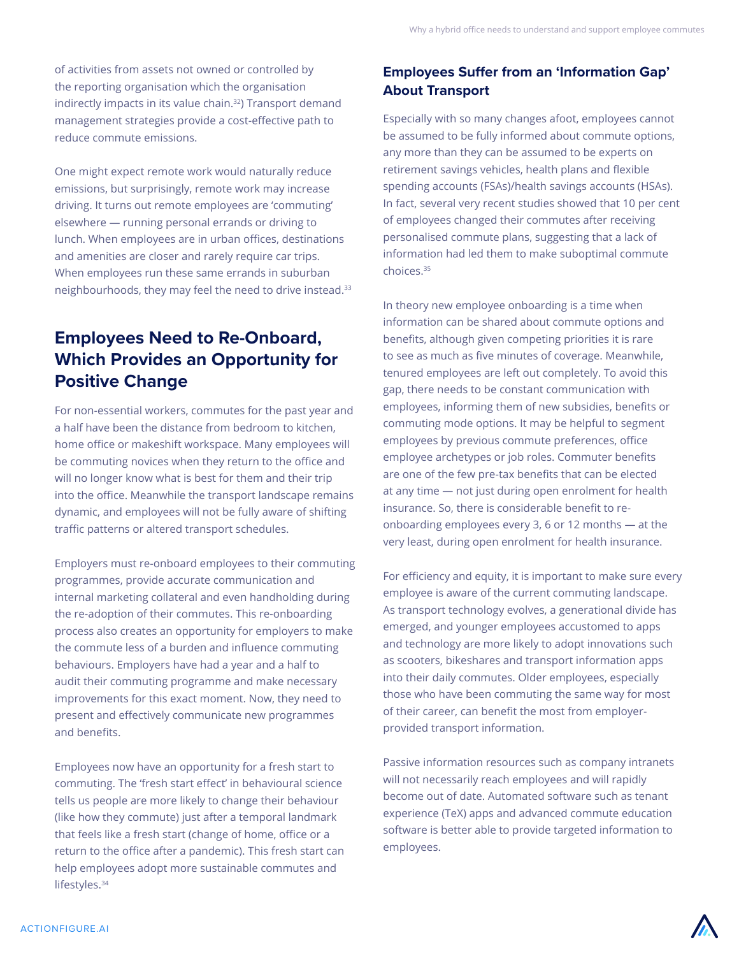of activities from assets not owned or controlled by the reporting organisation which the organisation indirectly impacts in its value chain.<sup>32</sup>) Transport demand management strategies provide a cost-effective path to reduce commute emissions.

One might expect remote work would naturally reduce emissions, but surprisingly, remote work may increase driving. It turns out remote employees are 'commuting' elsewhere — running personal errands or driving to lunch. When employees are in urban offices, destinations and amenities are closer and rarely require car trips. When employees run these same errands in suburban neighbourhoods, they may feel the need to drive instead.33

## **Employees Need to Re-Onboard, Which Provides an Opportunity for Positive Change**

For non-essential workers, commutes for the past year and a half have been the distance from bedroom to kitchen, home office or makeshift workspace. Many employees will be commuting novices when they return to the office and will no longer know what is best for them and their trip into the office. Meanwhile the transport landscape remains dynamic, and employees will not be fully aware of shifting traffic patterns or altered transport schedules.

Employers must re-onboard employees to their commuting programmes, provide accurate communication and internal marketing collateral and even handholding during the re-adoption of their commutes. This re-onboarding process also creates an opportunity for employers to make the commute less of a burden and influence commuting behaviours. Employers have had a year and a half to audit their commuting programme and make necessary improvements for this exact moment. Now, they need to present and effectively communicate new programmes and benefits.

Employees now have an opportunity for a fresh start to commuting. The 'fresh start effect' in behavioural science tells us people are more likely to change their behaviour (like how they commute) just after a temporal landmark that feels like a fresh start (change of home, office or a return to the office after a pandemic). This fresh start can help employees adopt more sustainable commutes and lifestyles.<sup>34</sup>

### **Employees Suffer from an 'Information Gap' About Transport**

Especially with so many changes afoot, employees cannot be assumed to be fully informed about commute options, any more than they can be assumed to be experts on retirement savings vehicles, health plans and flexible spending accounts (FSAs)/health savings accounts (HSAs). In fact, several very recent studies showed that 10 per cent of employees changed their commutes after receiving personalised commute plans, suggesting that a lack of information had led them to make suboptimal commute choices.<sup>35</sup>

In theory new employee onboarding is a time when information can be shared about commute options and benefits, although given competing priorities it is rare to see as much as five minutes of coverage. Meanwhile, tenured employees are left out completely. To avoid this gap, there needs to be constant communication with employees, informing them of new subsidies, benefits or commuting mode options. It may be helpful to segment employees by previous commute preferences, office employee archetypes or job roles. Commuter benefits are one of the few pre-tax benefits that can be elected at any time — not just during open enrolment for health insurance. So, there is considerable benefit to reonboarding employees every 3, 6 or 12 months — at the very least, during open enrolment for health insurance.

For efficiency and equity, it is important to make sure every employee is aware of the current commuting landscape. As transport technology evolves, a generational divide has emerged, and younger employees accustomed to apps and technology are more likely to adopt innovations such as scooters, bikeshares and transport information apps into their daily commutes. Older employees, especially those who have been commuting the same way for most of their career, can benefit the most from employerprovided transport information.

Passive information resources such as company intranets will not necessarily reach employees and will rapidly become out of date. Automated software such as tenant experience (TeX) apps and advanced commute education software is better able to provide targeted information to employees.

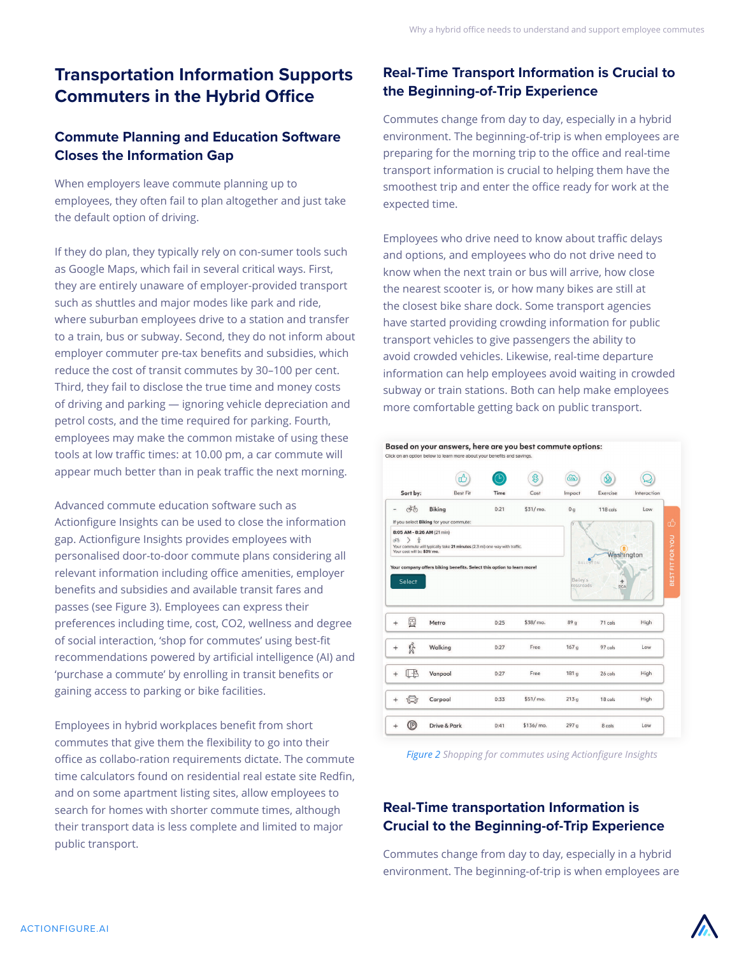## **Transportation Information Supports Commuters in the Hybrid Office**

### **Commute Planning and Education Software Closes the Information Gap**

When employers leave commute planning up to employees, they often fail to plan altogether and just take the default option of driving.

If they do plan, they typically rely on con-sumer tools such as Google Maps, which fail in several critical ways. First, they are entirely unaware of employer-provided transport such as shuttles and major modes like park and ride, where suburban employees drive to a station and transfer to a train, bus or subway. Second, they do not inform about employer commuter pre-tax benefits and subsidies, which reduce the cost of transit commutes by 30–100 per cent. Third, they fail to disclose the true time and money costs of driving and parking — ignoring vehicle depreciation and petrol costs, and the time required for parking. Fourth, employees may make the common mistake of using these tools at low traffic times: at 10.00 pm, a car commute will appear much better than in peak traffic the next morning.

Advanced commute education software such as Actionfigure Insights can be used to close the information gap. Actionfigure Insights provides employees with personalised door-to-door commute plans considering all relevant information including office amenities, employer benefits and subsidies and available transit fares and passes (see Figure 3). Employees can express their preferences including time, cost, CO2, wellness and degree of social interaction, 'shop for commutes' using best-fit recommendations powered by artificial intelligence (AI) and 'purchase a commute' by enrolling in transit benefits or gaining access to parking or bike facilities.

Employees in hybrid workplaces benefit from short commutes that give them the flexibility to go into their office as collabo-ration requirements dictate. The commute time calculators found on residential real estate site Redfin, and on some apartment listing sites, allow employees to search for homes with shorter commute times, although their transport data is less complete and limited to major public transport.

### **Real-Time Transport Information is Crucial to the Beginning-of-Trip Experience**

Commutes change from day to day, especially in a hybrid environment. The beginning-of-trip is when employees are preparing for the morning trip to the office and real-time transport information is crucial to helping them have the smoothest trip and enter the office ready for work at the expected time.

Employees who drive need to know about traffic delays and options, and employees who do not drive need to know when the next train or bus will arrive, how close the nearest scooter is, or how many bikes are still at the closest bike share dock. Some transport agencies have started providing crowding information for public transport vehicles to give passengers the ability to avoid crowded vehicles. Likewise, real-time departure information can help employees avoid waiting in crowded subway or train stations. Both can help make employees more comfortable getting back on public transport.



*Figure 2 Shopping for commutes using Actionfigure Insights*

### **Real-Time transportation Information is Crucial to the Beginning-of-Trip Experience**

Commutes change from day to day, especially in a hybrid environment. The beginning-of-trip is when employees are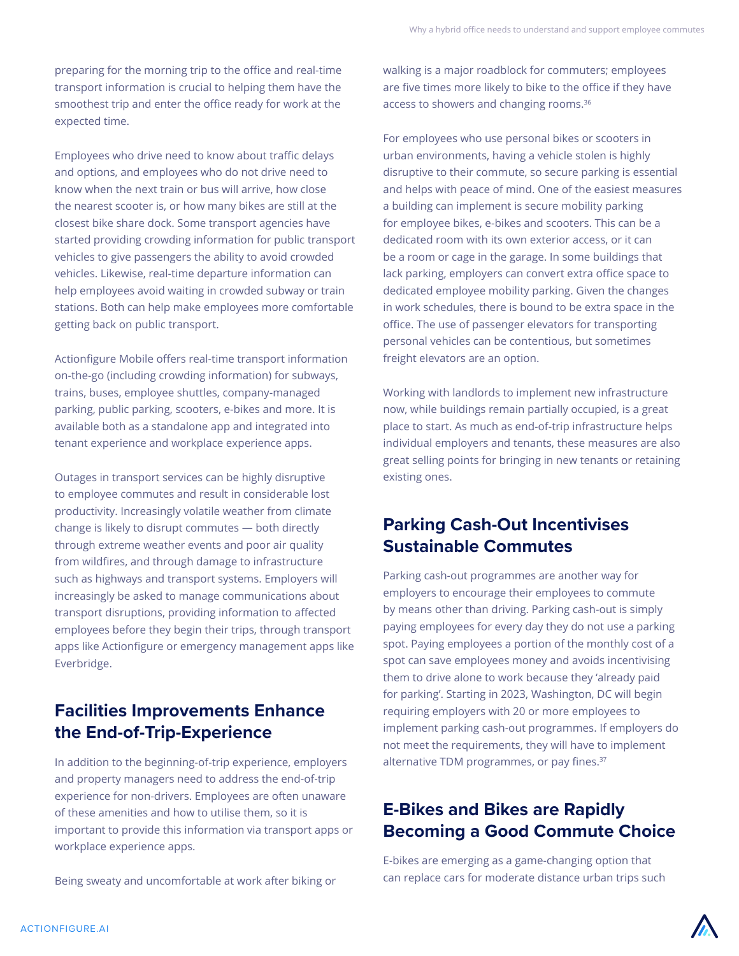preparing for the morning trip to the office and real-time transport information is crucial to helping them have the smoothest trip and enter the office ready for work at the expected time.

Employees who drive need to know about traffic delays and options, and employees who do not drive need to know when the next train or bus will arrive, how close the nearest scooter is, or how many bikes are still at the closest bike share dock. Some transport agencies have started providing crowding information for public transport vehicles to give passengers the ability to avoid crowded vehicles. Likewise, real-time departure information can help employees avoid waiting in crowded subway or train stations. Both can help make employees more comfortable getting back on public transport.

Actionfigure Mobile offers real-time transport information on-the-go (including crowding information) for subways, trains, buses, employee shuttles, company-managed parking, public parking, scooters, e-bikes and more. It is available both as a standalone app and integrated into tenant experience and workplace experience apps.

Outages in transport services can be highly disruptive to employee commutes and result in considerable lost productivity. Increasingly volatile weather from climate change is likely to disrupt commutes — both directly through extreme weather events and poor air quality from wildfires, and through damage to infrastructure such as highways and transport systems. Employers will increasingly be asked to manage communications about transport disruptions, providing information to affected employees before they begin their trips, through transport apps like Actionfigure or emergency management apps like Everbridge.

## **Facilities Improvements Enhance the End-of-Trip-Experience**

In addition to the beginning-of-trip experience, employers and property managers need to address the end-of-trip experience for non-drivers. Employees are often unaware of these amenities and how to utilise them, so it is important to provide this information via transport apps or workplace experience apps.

Being sweaty and uncomfortable at work after biking or

walking is a major roadblock for commuters; employees are five times more likely to bike to the office if they have access to showers and changing rooms.36

For employees who use personal bikes or scooters in urban environments, having a vehicle stolen is highly disruptive to their commute, so secure parking is essential and helps with peace of mind. One of the easiest measures a building can implement is secure mobility parking for employee bikes, e-bikes and scooters. This can be a dedicated room with its own exterior access, or it can be a room or cage in the garage. In some buildings that lack parking, employers can convert extra office space to dedicated employee mobility parking. Given the changes in work schedules, there is bound to be extra space in the office. The use of passenger elevators for transporting personal vehicles can be contentious, but sometimes freight elevators are an option.

Working with landlords to implement new infrastructure now, while buildings remain partially occupied, is a great place to start. As much as end-of-trip infrastructure helps individual employers and tenants, these measures are also great selling points for bringing in new tenants or retaining existing ones.

### **Parking Cash-Out Incentivises Sustainable Commutes**

Parking cash-out programmes are another way for employers to encourage their employees to commute by means other than driving. Parking cash-out is simply paying employees for every day they do not use a parking spot. Paying employees a portion of the monthly cost of a spot can save employees money and avoids incentivising them to drive alone to work because they 'already paid for parking'. Starting in 2023, Washington, DC will begin requiring employers with 20 or more employees to implement parking cash-out programmes. If employers do not meet the requirements, they will have to implement alternative TDM programmes, or pay fines.<sup>37</sup>

## **E-Bikes and Bikes are Rapidly Becoming a Good Commute Choice**

E-bikes are emerging as a game-changing option that can replace cars for moderate distance urban trips such

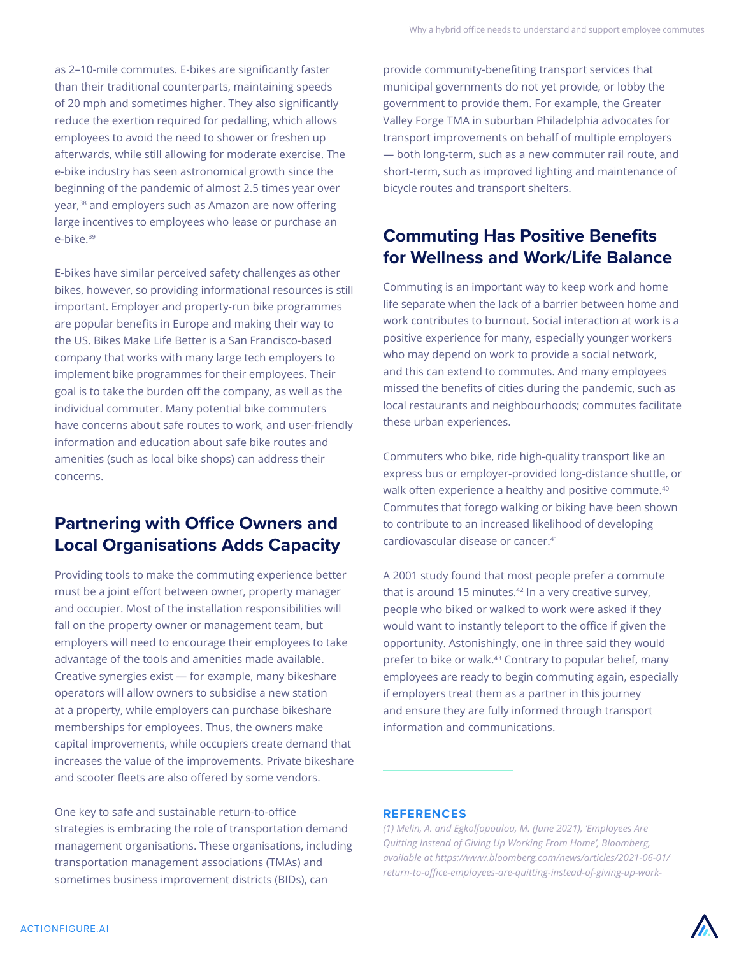as 2–10-mile commutes. E-bikes are significantly faster than their traditional counterparts, maintaining speeds of 20 mph and sometimes higher. They also significantly reduce the exertion required for pedalling, which allows employees to avoid the need to shower or freshen up afterwards, while still allowing for moderate exercise. The e-bike industry has seen astronomical growth since the beginning of the pandemic of almost 2.5 times year over year,<sup>38</sup> and employers such as Amazon are now offering large incentives to employees who lease or purchase an e-bike.39

E-bikes have similar perceived safety challenges as other bikes, however, so providing informational resources is still important. Employer and property-run bike programmes are popular benefits in Europe and making their way to the US. Bikes Make Life Better is a San Francisco-based company that works with many large tech employers to implement bike programmes for their employees. Their goal is to take the burden off the company, as well as the individual commuter. Many potential bike commuters have concerns about safe routes to work, and user-friendly information and education about safe bike routes and amenities (such as local bike shops) can address their concerns.

## **Partnering with Office Owners and Local Organisations Adds Capacity**

Providing tools to make the commuting experience better must be a joint effort between owner, property manager and occupier. Most of the installation responsibilities will fall on the property owner or management team, but employers will need to encourage their employees to take advantage of the tools and amenities made available. Creative synergies exist — for example, many bikeshare operators will allow owners to subsidise a new station at a property, while employers can purchase bikeshare memberships for employees. Thus, the owners make capital improvements, while occupiers create demand that increases the value of the improvements. Private bikeshare and scooter fleets are also offered by some vendors.

One key to safe and sustainable return-to-office strategies is embracing the role of transportation demand management organisations. These organisations, including transportation management associations (TMAs) and sometimes business improvement districts (BIDs), can

provide community-benefiting transport services that municipal governments do not yet provide, or lobby the government to provide them. For example, the Greater Valley Forge TMA in suburban Philadelphia advocates for transport improvements on behalf of multiple employers — both long-term, such as a new commuter rail route, and short-term, such as improved lighting and maintenance of bicycle routes and transport shelters.

## **Commuting Has Positive Benefits for Wellness and Work/Life Balance**

Commuting is an important way to keep work and home life separate when the lack of a barrier between home and work contributes to burnout. Social interaction at work is a positive experience for many, especially younger workers who may depend on work to provide a social network, and this can extend to commutes. And many employees missed the benefits of cities during the pandemic, such as local restaurants and neighbourhoods; commutes facilitate these urban experiences.

Commuters who bike, ride high-quality transport like an express bus or employer-provided long-distance shuttle, or walk often experience a healthy and positive commute.<sup>40</sup> Commutes that forego walking or biking have been shown to contribute to an increased likelihood of developing cardiovascular disease or cancer.41

A 2001 study found that most people prefer a commute that is around 15 minutes. $42 \ln a$  very creative survey, people who biked or walked to work were asked if they would want to instantly teleport to the office if given the opportunity. Astonishingly, one in three said they would prefer to bike or walk.43 Contrary to popular belief, many employees are ready to begin commuting again, especially if employers treat them as a partner in this journey and ensure they are fully informed through transport information and communications.

#### **REFERENCES**

*(1) Melin, A. and Egkolfopoulou, M. (June 2021), 'Employees Are Quitting Instead of Giving Up Working From Home', Bloomberg, available at https://www.bloomberg.com/news/articles/2021-06-01/ return-to-office-employees-are-quitting-instead-of-giving-up-work-*

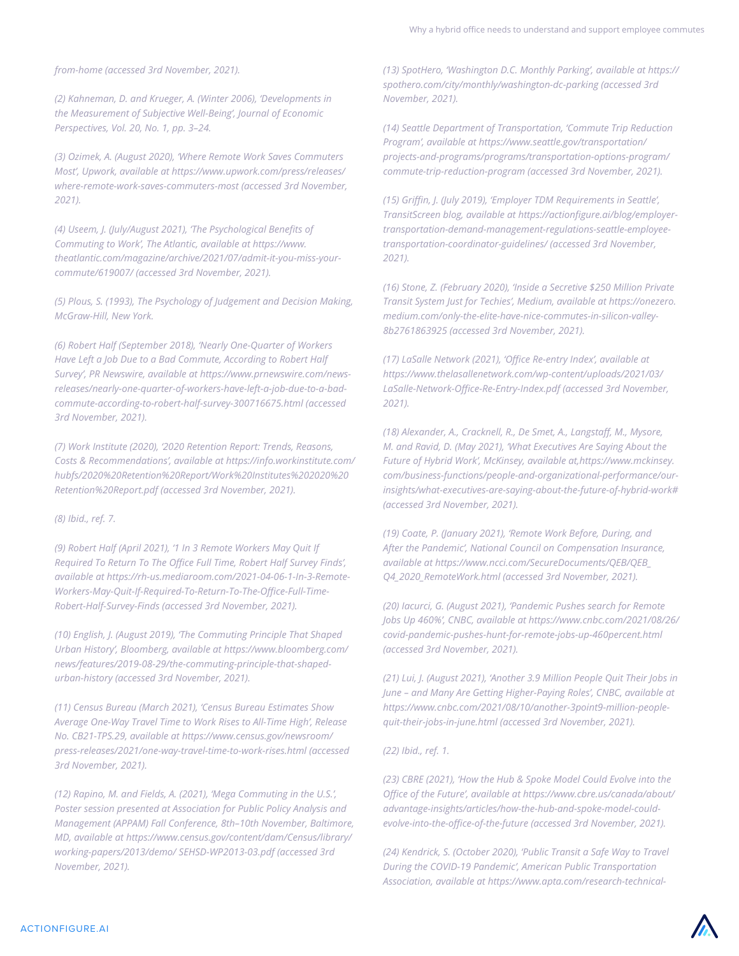*from-home (accessed 3rd November, 2021).*

*(2) Kahneman, D. and Krueger, A. (Winter 2006), 'Developments in the Measurement of Subjective Well-Being', Journal of Economic Perspectives, Vol. 20, No. 1, pp. 3–24.*

*(3) Ozimek, A. (August 2020), 'Where Remote Work Saves Commuters Most', Upwork, available at https://www.upwork.com/press/releases/ where-remote-work-saves-commuters-most (accessed 3rd November, 2021).*

*(4) Useem, J. (July/August 2021), 'The Psychological Benefits of Commuting to Work', The Atlantic, available at https://www. theatlantic.com/magazine/archive/2021/07/admit-it-you-miss-yourcommute/619007/ (accessed 3rd November, 2021).*

*(5) Plous, S. (1993), The Psychology of Judgement and Decision Making, McGraw-Hill, New York.*

*(6) Robert Half (September 2018), 'Nearly One-Quarter of Workers Have Left a Job Due to a Bad Commute, According to Robert Half Survey', PR Newswire, available at https://www.prnewswire.com/newsreleases/nearly-one-quarter-of-workers-have-left-a-job-due-to-a-badcommute-according-to-robert-half-survey-300716675.html (accessed 3rd November, 2021).*

*(7) Work Institute (2020), '2020 Retention Report: Trends, Reasons, Costs & Recommendations', available at https://info.workinstitute.com/ hubfs/2020%20Retention%20Report/Work%20Institutes%202020%20 Retention%20Report.pdf (accessed 3rd November, 2021).*

*(8) Ibid., ref. 7.*

*(9) Robert Half (April 2021), '1 In 3 Remote Workers May Quit If Required To Return To The Office Full Time, Robert Half Survey Finds', available at https://rh-us.mediaroom.com/2021-04-06-1-In-3-Remote-Workers-May-Quit-If-Required-To-Return-To-The-Office-Full-Time-Robert-Half-Survey-Finds (accessed 3rd November, 2021).*

*(10) English, J. (August 2019), 'The Commuting Principle That Shaped Urban History', Bloomberg, available at https://www.bloomberg.com/ news/features/2019-08-29/the-commuting-principle-that-shapedurban-history (accessed 3rd November, 2021).*

*(11) Census Bureau (March 2021), 'Census Bureau Estimates Show Average One-Way Travel Time to Work Rises to All-Time High', Release No. CB21-TPS.29, available at https://www.census.gov/newsroom/ press-releases/2021/one-way-travel-time-to-work-rises.html (accessed 3rd November, 2021).*

*(12) Rapino, M. and Fields, A. (2021), 'Mega Commuting in the U.S.', Poster session presented at Association for Public Policy Analysis and Management (APPAM) Fall Conference, 8th–10th November, Baltimore, MD, available at https://www.census.gov/content/dam/Census/library/ working-papers/2013/demo/ SEHSD-WP2013-03.pdf (accessed 3rd November, 2021).*

*(13) SpotHero, 'Washington D.C. Monthly Parking', available at https:// spothero.com/city/monthly/washington-dc-parking (accessed 3rd November, 2021).*

*(14) Seattle Department of Transportation, 'Commute Trip Reduction Program', available at https://www.seattle.gov/transportation/ projects-and-programs/programs/transportation-options-program/ commute-trip-reduction-program (accessed 3rd November, 2021).*

*(15) Griffin, J. (July 2019), 'Employer TDM Requirements in Seattle', TransitScreen blog, available at https://actionfigure.ai/blog/employertransportation-demand-management-regulations-seattle-employeetransportation-coordinator-guidelines/ (accessed 3rd November, 2021).*

*(16) Stone, Z. (February 2020), 'Inside a Secretive \$250 Million Private Transit System Just for Techies', Medium, available at https://onezero. medium.com/only-the-elite-have-nice-commutes-in-silicon-valley-8b2761863925 (accessed 3rd November, 2021).*

*(17) LaSalle Network (2021), 'Office Re-entry Index', available at https://www.thelasallenetwork.com/wp-content/uploads/2021/03/ LaSalle-Network-Office-Re-Entry-Index.pdf (accessed 3rd November, 2021).*

*(18) Alexander, A., Cracknell, R., De Smet, A., Langstaff, M., Mysore, M. and Ravid, D. (May 2021), 'What Executives Are Saying About the Future of Hybrid Work', McKinsey, available at,https://www.mckinsey. com/business-functions/people-and-organizational-performance/ourinsights/what-executives-are-saying-about-the-future-of-hybrid-work# (accessed 3rd November, 2021).*

*(19) Coate, P. (January 2021), 'Remote Work Before, During, and After the Pandemic', National Council on Compensation Insurance, available at https://www.ncci.com/SecureDocuments/QEB/QEB\_ Q4\_2020\_RemoteWork.html (accessed 3rd November, 2021).*

*(20) Iacurci, G. (August 2021), 'Pandemic Pushes search for Remote Jobs Up 460%', CNBC, available at https://www.cnbc.com/2021/08/26/ covid-pandemic-pushes-hunt-for-remote-jobs-up-460percent.html (accessed 3rd November, 2021).*

*(21) Lui, J. (August 2021), 'Another 3.9 Million People Quit Their Jobs in June – and Many Are Getting Higher-Paying Roles', CNBC, available at https://www.cnbc.com/2021/08/10/another-3point9-million-peoplequit-their-jobs-in-june.html (accessed 3rd November, 2021).*

*(22) Ibid., ref. 1.*

*(23) CBRE (2021), 'How the Hub & Spoke Model Could Evolve into the Office of the Future', available at https://www.cbre.us/canada/about/ advantage-insights/articles/how-the-hub-and-spoke-model-couldevolve-into-the-office-of-the-future (accessed 3rd November, 2021).*

*(24) Kendrick, S. (October 2020), 'Public Transit a Safe Way to Travel During the COVID-19 Pandemic', American Public Transportation Association, available at https://www.apta.com/research-technical-*